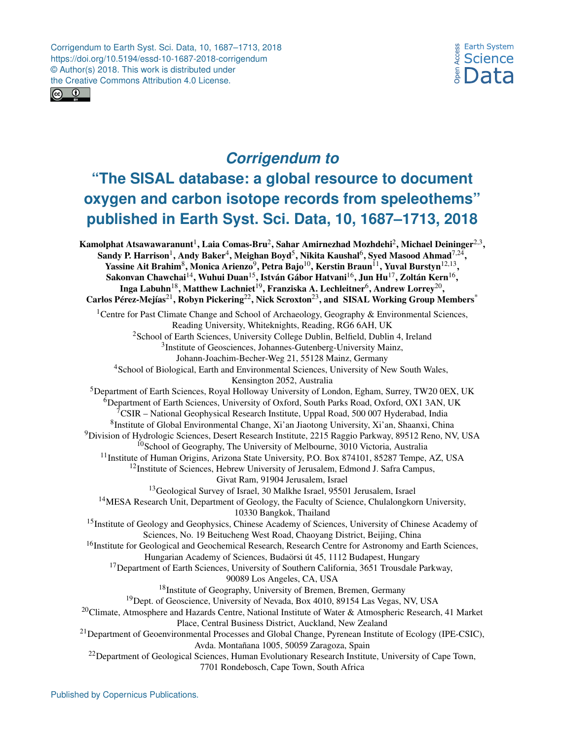Corrigendum to Earth Syst. Sci. Data, 10, 1687–1713, 2018 https://doi.org/10.5194/essd-10-1687-2018-corrigendum © Author(s) 2018. This work is distributed under the Creative Commons Attribution 4.0 License.





## *Corrigendum to*

## **"The SISAL database: a global resource to document oxygen and carbon isotope records from speleothems" published in Earth Syst. Sci. Data, 10, 1687–1713, 2018**

<span id="page-0-0"></span>Kamolphat Atsawawaranunt $^{\rm l}$ , Laia Comas-Bru $^{\rm 2}$  $^{\rm 2}$  $^{\rm 2}$ , Sahar Amirnezhad Mozhdehi $^{\rm 2}$ , Michael Deininger $^{2,3},$  $^{2,3},$  $^{2,3},$ Sandy P. Harrison $^1$  $^1$ , Andy Baker $^4$  $^4$ , Meighan Boyd $^5$  $^5$ , Nikita Kaushal $^6$  $^6$ , Syed Masood Ahmad $^{7,24},$  $^{7,24},$  $^{7,24},$ Yassine Ait Brahim<sup>[8](#page-0-0)</sup>, Monica Arienzo<sup>[9](#page-0-0)</sup>, Petra Bajo<sup>[10](#page-0-0)</sup>, Kerstin Braun<sup>[11](#page-0-0)</sup>, Yuval Burstyn<sup>[12,13](#page-0-0)</sup>, Sakonvan Chawchai $^{14}$  $^{14}$  $^{14}$ , Wuhui Duan $^{15}$  $^{15}$  $^{15}$ , István Gábor Hatvani $^{16}$  $^{16}$  $^{16}$ , Jun Hu $^{17}$  $^{17}$  $^{17}$ , Zoltán Kern $^{16}$ , Inga Labuhn $^{18}$  $^{18}$  $^{18}$ , Matthew Lachniet $^{19}$  $^{19}$  $^{19}$ , Franziska A. Lechleitner $^{6}$  $^{6}$  $^{6}$ , Andrew Lorrey $^{20},$  $^{20},$  $^{20},$ Carlos Pérez-Mejías<sup>[21](#page-0-0)</sup>, Robyn Pickering<sup>[22](#page-0-0)</sup>, Nick Scroxton<sup>[23](#page-0-0)</sup>, and SISAL Working Group Members<sup>[\\*](#page-0-0)</sup> <sup>1</sup>Centre for Past Climate Change and School of Archaeology, Geography & Environmental Sciences, Reading University, Whiteknights, Reading, RG6 6AH, UK <sup>2</sup>School of Earth Sciences, University College Dublin, Belfield, Dublin 4, Ireland <sup>3</sup>Institute of Geosciences, Johannes-Gutenberg-University Mainz, Johann-Joachim-Becher-Weg 21, 55128 Mainz, Germany <sup>4</sup>School of Biological, Earth and Environmental Sciences, University of New South Wales, Kensington 2052, Australia <sup>5</sup>Department of Earth Sciences, Royal Holloway University of London, Egham, Surrey, TW20 0EX, UK <sup>6</sup>Department of Earth Sciences, University of Oxford, South Parks Road, Oxford, OX1 3AN, UK  $7\text{CSIR}$  – National Geophysical Research Institute, Uppal Road, 500 007 Hyderabad, India <sup>8</sup>Institute of Global Environmental Change, Xi'an Jiaotong University, Xi'an, Shaanxi, China <sup>9</sup>Division of Hydrologic Sciences, Desert Research Institute, 2215 Raggio Parkway, 89512 Reno, NV, USA  $10$ School of Geography, The University of Melbourne, 3010 Victoria, Australia <sup>11</sup>Institute of Human Origins, Arizona State University, P.O. Box 874101, 85287 Tempe, AZ, USA <sup>12</sup>Institute of Sciences, Hebrew University of Jerusalem, Edmond J. Safra Campus, Givat Ram, 91904 Jerusalem, Israel <sup>13</sup>Geological Survey of Israel, 30 Malkhe Israel, 95501 Jerusalem, Israel <sup>14</sup>MESA Research Unit, Department of Geology, the Faculty of Science, Chulalongkorn University, 10330 Bangkok, Thailand <sup>15</sup>Institute of Geology and Geophysics, Chinese Academy of Sciences, University of Chinese Academy of Sciences, No. 19 Beitucheng West Road, Chaoyang District, Beijing, China <sup>16</sup>Institute for Geological and Geochemical Research, Research Centre for Astronomy and Earth Sciences, Hungarian Academy of Sciences, Budaörsi út 45, 1112 Budapest, Hungary <sup>17</sup>Department of Earth Sciences, University of Southern California, 3651 Trousdale Parkway, 90089 Los Angeles, CA, USA <sup>18</sup>Institute of Geography, University of Bremen, Bremen, Germany <sup>19</sup>Dept. of Geoscience, University of Nevada, Box 4010, 89154 Las Vegas, NV, USA <sup>20</sup>Climate, Atmosphere and Hazards Centre, National Institute of Water & Atmospheric Research, 41 Market Place, Central Business District, Auckland, New Zealand <sup>21</sup>Department of Geoenvironmental Processes and Global Change, Pyrenean Institute of Ecology (IPE-CSIC), Avda. Montañana 1005, 50059 Zaragoza, Spain <sup>22</sup>Department of Geological Sciences, Human Evolutionary Research Institute, University of Cape Town, 7701 Rondebosch, Cape Town, South Africa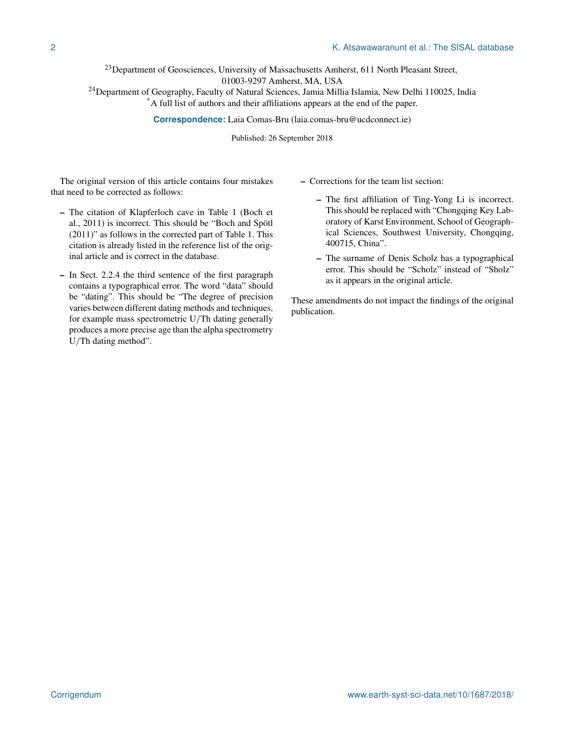$^{23}$ Department of Geosciences, University of Massachusetts Amherst, 611 North Pleasant Street, 01003-9297 Amherst, MA, USA

<sup>24</sup>Department of Geography, Faculty of Natural Sciences, Jamia Millia Islamia, New Delhi 110025, India

\*A full list of authors and their affiliations appears at the end of the paper.

**Correspondence:** Laia Comas-Bru (laia.comas-bru@ucdconnect.ie)

Published: 26 September 2018

The original version of this article contains four mistakes that need to be corrected as follows:

- The citation of Klapferloch cave in Table 1 (Boch et al., 2011) is incorrect. This should be "Boch and Spötl (2011)" as follows in the corrected part of Table 1. This citation is already listed in the reference list of the original article and is correct in the database.
- In Sect. 2.2.4 the third sentence of the first paragraph contains a typographical error. The word "data" should be "dating". This should be "The degree of precision varies between different dating methods and techniques, for example mass spectrometric U/Th dating generally produces a more precise age than the alpha spectrometry U/Th dating method".
- Corrections for the team list section:
	- The first affiliation of Ting-Yong Li is incorrect. This should be replaced with "Chongqing Key Laboratory of Karst Environment, School of Geographical Sciences, Southwest University, Chongqing, 400715, China".
	- The surname of Denis Scholz has a typographical error. This should be "Scholz" instead of "Sholz" as it appears in the original article.

These amendments do not impact the findings of the original publication.